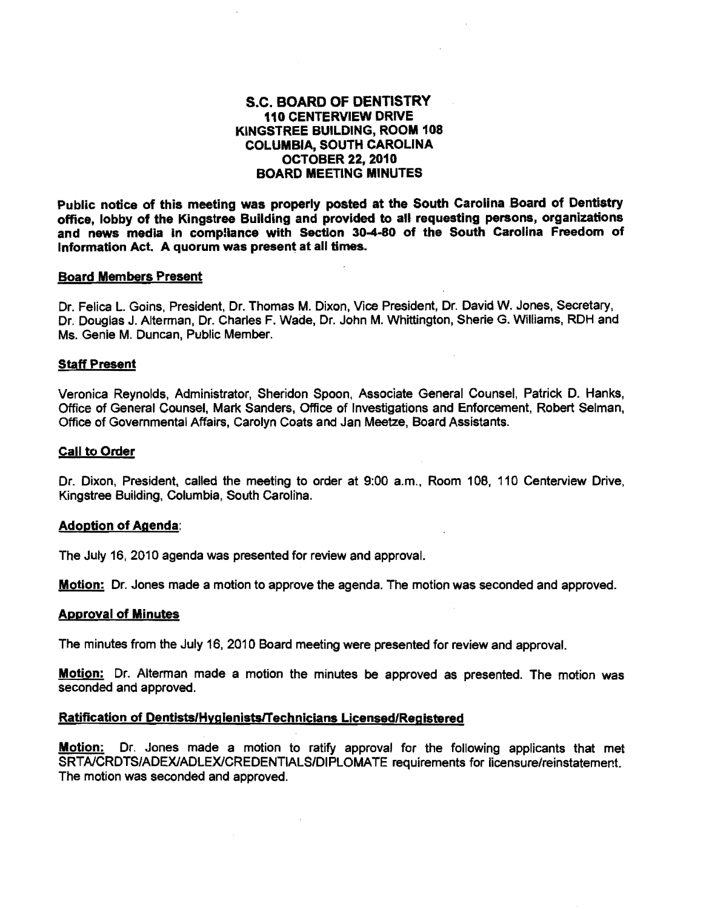# S.C. BOARD OF DENTISTRY 110 CENTERVIEW DRIVE KINGSTREE BUILDING, ROOM 108 COLUMBIA, SOUTH CAROLINA OCTOBER 22, 2010 BOARD MEETING MINUTES

Public notice of this meeting was properly posted at the South Carolina Board of Dentistry office, lobby of the Kingstree Building and provided to all requesting persons, organizations and news media in comptlance with Section 30-4-80 of the South Carolina Freedom of Information Act. A quorum was present at all times.

#### Board Members Present

Dr. Felica L. Goins, President, Dr. Thomas M. Dixon, Vice President, Dr. David W. Jones, Secretary, Dr. Douglas J. Alterman, Dr. Charles F. Wade, Dr. John M. Whittington, Sherie G. Williams, RDH and Ms. Genie M. Duncan, Public Member.

#### Staff Present

Veronica Reynolds, Administrator, Sheridon Spoon, Associate General Counsel, Patrick D. Hanks, Office of General Counsel, Mark Sanders, Office of Investigations and Enforcement, Robert Selman, Office of Governmental Affairs, Carolyn Coats and Jan Meetze, Board Assistants.

#### Call to Order

Dr. Dixon, President, called the meeting to order at 9:00 a.m., Room 108, 110 Centerview Drive, Kingstree Building, Columbia, South Carolina.

#### Adoption of Agenda:

The July 16, 2010 agenda was presented for review and approval.

Motion: Dr. Jones made a motion to approve the agenda. The motion was seconded and approved.

#### Approval of Minutes

The minutes from the July 16, 2010 Board meeting were presented for review and approval.

**Motion:** Dr. Alterman made a motion the minutes be approved as presented. The motion was seconded and approved.

### Ratification of Dentists/Hygienists/Technicians Licensed/Registered

Motion: Dr. Jones made a motion to ratify approval for the following applicants that met SRT AlCRDTS/ADEXlADLEXlCREDENTIALS/DIPLOMA TE requirements for licensure/reinstatement. The motion was seconded and approved.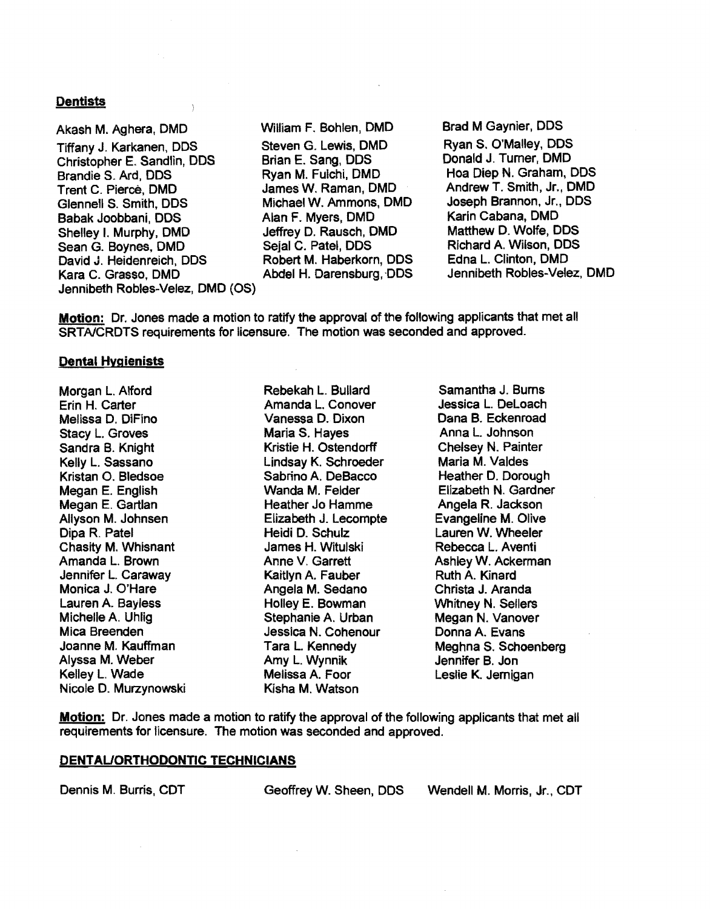### **Dentists**

Akash M. Aghera, DMD Tiffany J. Karkanen, DDS Christopher E. Sandlin, DDS Brandie S. Ard, DDS Trent C. Pierce, DMD Glennell S. Smith, DDS Babak Joobbani, DDS Shelley I. Murphy, DMD Sean G. Boynes, DMD David J. Heidenreich, DDS Kara C. Grasso, DMD Jennibeth Robles~Velez, DMD (OS)

j,

William F. Bohlen, DMD Steven G. lewis, DMD Brian E. Sang, DDS Ryan M. Fulchi, DMD James W. Raman, DMD Michael W. Ammons, DMD Alan F. Myers, DMD Jeffrey D. Rausch, DMD Sejal C. Patel, DDS Robert M. Haberkorn, DDS Abdel H. Darensburg, DDS Brad M Gaynier, DDS Ryan S. O'Malley, DDS Donald J. Turner, DMD Hoa Diep N. Graham, DDS AndrewT. Smith, Jr., DMD Joseph Brannon, Jr., DDS Karin Cabana, DMD Matthew D. Wolfe, DDS Richard A. Wilson, DDS Edna L. Clinton, DMD Jennibeth Robles-Velez, DMD

Motion: Dr. Jones made a motion to ratify the approval of the following applicants that met all SRTAlCRDTS requirements for licensure. The motion was seconded and approved.

#### Dental Hygienists

Morgan L. Alford Erin H. Carter Melissa D. DiFino Stacy L. Groves Sandra B. Knight Kelly L. Sassano Kristan O. Bledsoe Megan E. English Megan E. Gartlan Allyson M. Johnsen Dipa R. Patel Chasity M. Whisnant Amanda L. Brown Jennifer L. Caraway Monica J. O'Hare lauren A. Bayless Michelle A. Uhlig Mica Breenden Joanne M. Kauffman Alyssa M. Weber Kelley L. Wade Nicole D. Murzynowski Rebekah L. Bullard Amanda L. Conover Vanessa D. Dixon Maria S. Hayes Kristie H. Ostendorff lindsay K. Schroeder Sabrino A. DeBacco Wanda M. Felder Heather Jo Hamme Elizabeth J. lecompte Heidi D. Schulz James H. Witulski Anne V. Garrett Kaitlyn A. Fauber Angela M. Sedano Holley E. Bowman Stephanie A. Urban Jessica N. Cohenour Tara L Kennedy Amy L. Wynnik Melissa A. Foor Kisha M. Watson

Samantha J. Bums Jessica L. Deloach Dana B. Eckenroad Anna L. Johnson Chelsey N. Painter Maria M. Valdes Heather D. Dorough Elizabeth N. Gardner Angela R. Jackson Evangeline M. Olive lauren W. Wheeler Rebecca L Aventi Ashley W. Ackerman Ruth A. Kinard Christa J. Aranda Whitney N. Sellers Megan N. Vanover Donna A. Evans Meghna S. Schoenberg Jennifer B. Jon Leslie K. Jernigan

**Motion:** Dr. Jones made a motion to ratify the approval of the following applicants that met all requirements for licensure. The motion was seconded and approved.

#### DENTAUORTHODONTIC TECHNICIANS

Dennis M. Burris, COT Geoffrey W. Sheen, DDS Wendell M. Morris, Jr., COT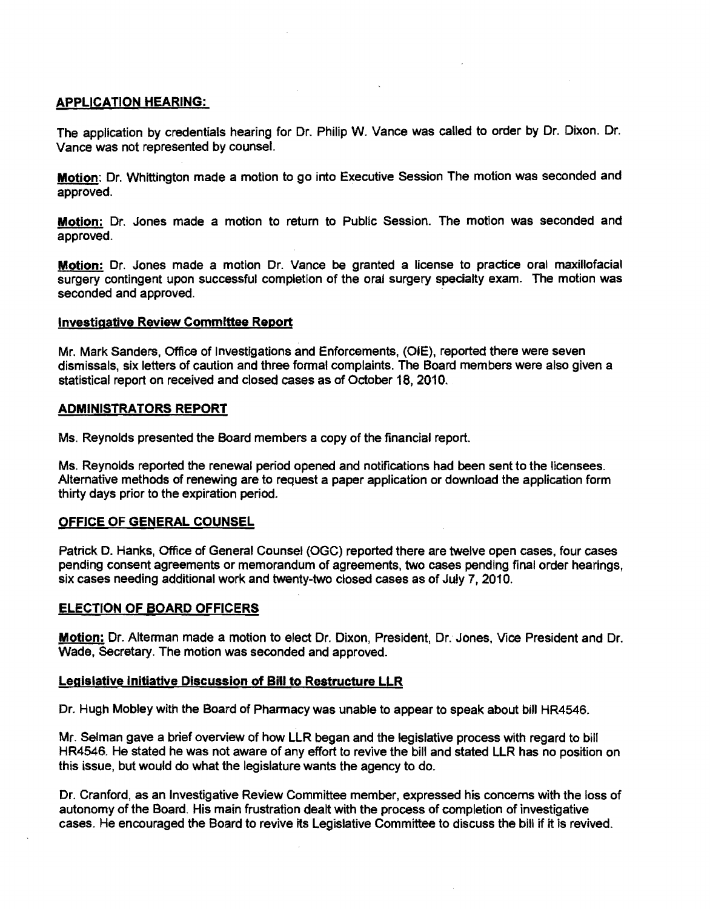# APPLICATION HEARING:

The application by credentials hearing for Dr. Philip W. Vance was called to order by Dr. Dixon. Dr. Vance was not represented by counsel.

Motion: Dr. Whittington made a motion to go into Executive Session The motion was seconded and approved.

Motion: Dr. Jones made a motion to retum to Public Session. The motion was seconded and approved.

Motion: Dr. Jones made a motion Dr. Vance be granted a license to practice oral maxillofacial surgery contingent upon successful completion of the oral surgery specialty exam. The motion was seconded and approved.

### **Investigative Review Committee Report**

Mr. Mark Sanders, Office of Investigations and Enforcements, (OlE), reported there were seven dismissals, six letters of caution and three formal complaints. The Board members were also given a statistical report on received and closed cases as of October 18, 2010.

### ADMINISTRATORS REPORT

Ms. Reynolds presented the Board members a copy of the financial report.

Ms. Reynolds reported the renewal period opened and notifications had been sent to the licensees. Alternative methods of renewing are to request a paper application or download the application form thirty days prior to the expiration period.

# OFFICE OF GENERAL COUNSEL

Patrick D. Hanks, Office of General Counsel (OGC) reported there are twelve open cases, four cases pending consent agreements or memorandum of agreements, two cases pending final order hearings, six cases needing additional work and twenty-two closed cases as of July 7, 2010.

# ELECTION OF BOARD OFFICERS

Motion: Dr. Alterman made a motion to elect Dr. Dixon, President, Dr. Jones, Vice President and Dr. Wade, Secretary. The motion was seconded and approved.

### Legislativg Initiative Discussion of Bill to Restructure LLR

Dr. Hugh Mobley with the Board of Pharmacy was unable to appear to speak about bill HR4546.

Mr. Selman gave a brief overview of how LLR began and the legislative process with regard to bill HR4546. He stated he was not aware of any effort to revive the bill and stated LLR has no position on this issue, but would do what the legislature wants the agency to do.

Dr. Cranford, as an Investigative Review Committee member, expressed his concerns with the loss of autonomy of the Board. His main frustration dealt with the process of completion of investigative cases. He encouraged the Board to revive its Legislative Committee to discuss the bill if it is revived.